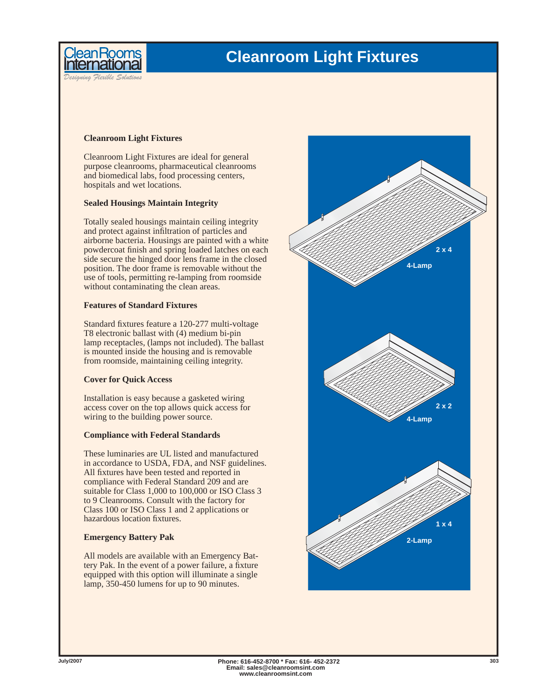



*Designing Flexible Solutions*

# **Cleanroom Light Fixtures**

Cleanroom Light Fixtures are ideal for general purpose cleanrooms, pharmaceutical cleanrooms and biomedical labs, food processing centers, hospitals and wet locations.

### **Sealed Housings Maintain Integrity**

Totally sealed housings maintain ceiling integrity and protect against infiltration of particles and airborne bacteria. Housings are painted with a white powdercoat finish and spring loaded latches on each side secure the hinged door lens frame in the closed position. The door frame is removable without the use of tools, permitting re-lamping from roomside without contaminating the clean areas.

# **Features of Standard Fixtures**

Standard fixtures feature a 120-277 multi-voltage T8 electronic ballast with (4) medium bi-pin lamp receptacles, (lamps not included). The ballast is mounted inside the housing and is removable from roomside, maintaining ceiling integrity.

# **Cover for Quick Access**

Installation is easy because a gasketed wiring access cover on the top allows quick access for wiring to the building power source.

# **Compliance with Federal Standards**

These luminaries are UL listed and manufactured in accordance to USDA, FDA, and NSF guidelines. All fixtures have been tested and reported in compliance with Federal Standard 209 and are suitable for Class 1,000 to 100,000 or ISO Class 3 to 9 Cleanrooms. Consult with the factory for Class 100 or ISO Class 1 and 2 applications or hazardous location fixtures.

# **Emergency Battery Pak**

All models are available with an Emergency Battery Pak. In the event of a power failure, a fixture equipped with this option will illuminate a single lamp, 350-450 lumens for up to 90 minutes.